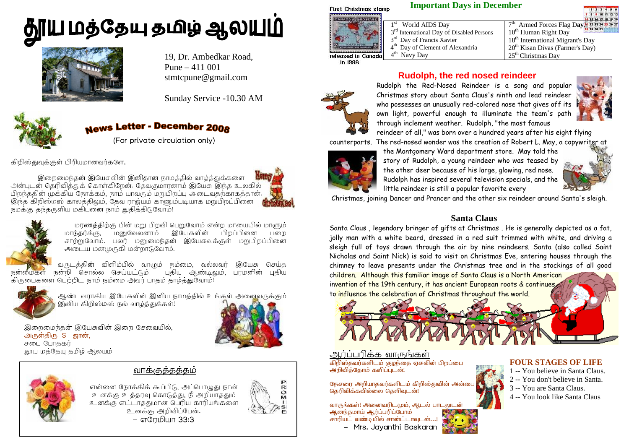# **ரிய மத்தேயு தமிழ் ஆலயுமி**



19, Dr. Ambedkar Road, Pune – 411 001 stmtcpune@gmail.com

Sunday Service -10.30 AM



# **News Letter - December 2008**

(For private circulation only)

கிறிஸ்துவுக்குள் பிரியமானவர்களே,

இறைமைந்தன் இயேசுவின் இனிதான நாமத்தில் வாழ்த்துக்களை அன்புடன் தெரிவித்துக் கொள்கிறேன். தேவகுமாரனாம் இயேசு இந்த உலகில் பிறந்ததின் முக்கிய நோக்கம், நாம் யாவரும் மறுபிறப்பு அடைவதற்காகத்தான். மஸ் காலத்திலும், தேவ ராஜ்யம் காணும்படியாக மறுபிறப்ப்<br>ருளிய மகிபனை நாம் கஙிக்கிடவோம்! நமக்கு தந்தருளிய மகிபனை நாம் துதித்திடுவோம்!





மரணத்திற்கு பின் மறு பிறவி பெறுவோம் என்ற மாயையில் மாளும் இயேசுவின் .<br>பிறப்பினை பறை மனுவேலனாம் சாற்றுவோம். பலர் மனுமைந்தன் இயேசுவுக்குள் மறுபிறப்பினை அடைய மனமுருகி மன்றாடுவோம்.

வருடத்தின் விளிம்பில் வாழும் நம்மை, வல்லவர் இயேசு செய்க .<br>கிருபைகளை பெற்றிட நாம் நம்மை அவர் பாதம் தாழ்த்துவோம்!



ஆண்டவராகிய இயேசுவின் இனிய நாமத்தில் உங்கள் அனைவருக்கும் இனிய கிறிஸ்மஸ் நல் வாழ்த்துக்கள்!





என்னை நோக்கிக் கூப்பிடு, அப்பொழுது நான் உனக்கு உத்தரவு கொடுத்து, நீ அறியாததும உனக்கு எட்டாததுமான பெரிய காரியங்களை உனக்கு அறிவிப்பேன். – எரேமியா 33:3

வாககுத்தத்தம்



#### **Important Days in December First Christmas stamp**

- 1 st World AIDS Day
- $3<sup>rd</sup>$  International Day of Disabled Persons
- 3<sup>rd</sup> Day of Francis Xavier
- 4<sup>th</sup> Day of Clement of Alexandria





released in Canada in 1898.



#### **Rudolph, the red nosed reindeer**

Rudolph the Red-Nosed Reindeer is a song and popular Christmas story about Santa Claus's ninth and lead reindeer who possesses an unusually red-colored nose that gives off its own light, powerful enough to illuminate the team's path through inclement weather. Rudolph, "the most famous



reindeer of all," was born over a hundred years after his eight flying counterparts. The red-nosed wonder was the creation of Robert L. May, a copywriter at



the Montgomery Ward department store. May told the story of Rudolph, a young reindeer who was teased by the other deer because of his large, glowing, red nose. Rudolph has inspired several television specials, and the little reindeer is still a popular favorite every



Christmas, joining Dancer and Prancer and the other six reindeer around Santa's sleigh.

#### **Santa Claus**

Santa Claus , legendary bringer of gifts at Christmas . He is generally depicted as a fat, jolly man with a white beard, dressed in a red suit trimmed with white, and driving a sleigh full of toys drawn through the air by nine reindeers. Santa (also called Saint Nicholas and Saint Nick) is said to visit on Christmas Eve, entering houses through the chimney to leave presents under the Christmas tree and in the stockings of all good

children. Although this familiar image of Santa Claus is a North American invention of the 19th century, it has ancient European roots & continues, to influence the celebration of Christmas throughout the world.



ĵ

### ஆர்ப்பரிக்க வாருங்கள்

கிறிஸ்கவாகளிடம் குழந்தை எசுவின் பிறப்பை அறிவித்தோம் களிப்புடன்!

நேசரை அறியாதவர்களிடம் கிறிஸ்துவின் அன்பை தெரிவிக்கவில்லை கெளிவடன!

ஆனந்தமாய் ஆர்ப்பரிப்போம் சாரியட் வண்டியில் சான்ட்டாவுடன்...!

- Mrs. Jayanthi Baskaran

#### **FOUR STAGES OF LIFE**

- 1 -- You believe in Santa Claus.
- 2 -- You don't believe in Santa.
- 3 -- You are Santa Claus.
- 4 -- You look like Santa Claus